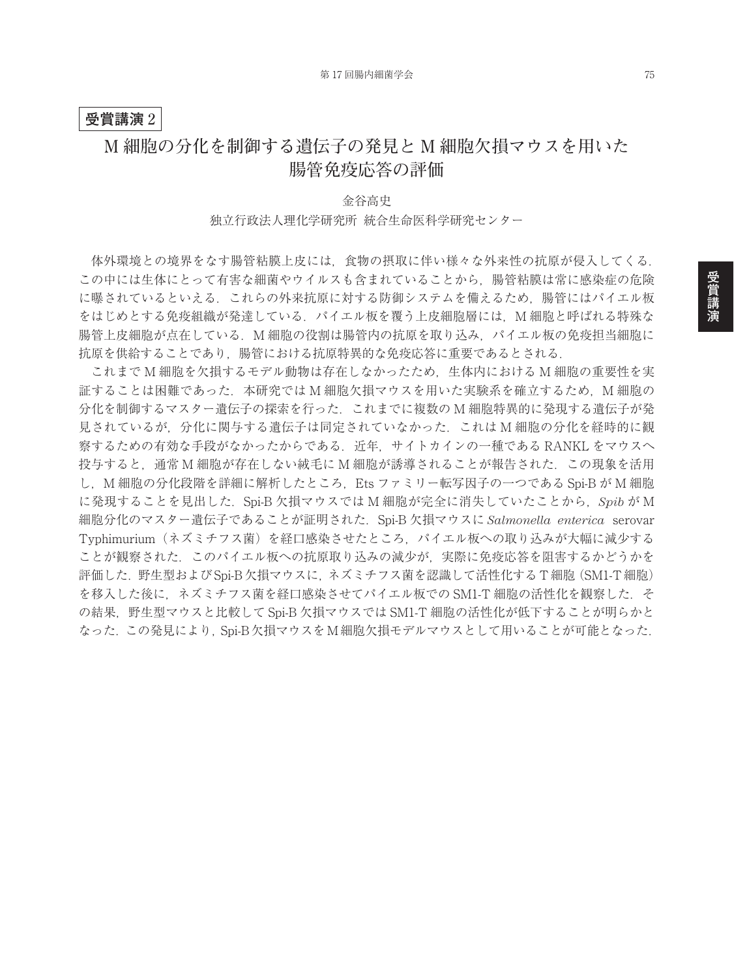#### **受賞講演** 2

# **M 細胞の分化を制御する遺伝子の発見と M 細胞欠損マウスを用いた 腸管免疫応答の評価**

### 金谷高史 独立行政法人理化学研究所 統合生命医科学研究センター

体外環境との境界をなす腸管粘膜上皮には,食物の摂取に伴い様々な外来性の抗原が侵入してくる. この中には生体にとって有害な細菌やウイルスも含まれていることから,腸管粘膜は常に感染症の危険 に曝されているといえる.これらの外来抗原に対する防御システムを備えるため,腸管にはパイエル板 をはじめとする免疫組織が発達している. パイエル板を覆う上皮細胞層には、M 細胞と呼ばれる特殊な 腸管上皮細胞が点在している. M 細胞の役割は腸管内の抗原を取り込み. パイエル板の免疫担当細胞に 抗原を供給することであり,腸管における抗原特異的な免疫応答に重要であるとされる.

これまで M 細胞を欠損するモデル動物は存在しなかったため、生体内における M 細胞の重要性を実 証することは困難であった. 本研究では M 細胞欠損マウスを用いた実験系を確立するため, M 細胞の 分化を制御するマスター遺伝子の探索を行った. これまでに複数の M 細胞特異的に発現する遺伝子が発 見されているが,分化に関与する遺伝子は同定されていなかった.これは M 細胞の分化を経時的に観 察するための有効な手段がなかったからである. 近年, サイトカインの一種である RANKL をマウスへ 投与すると、通常 M 細胞が存在しない絨毛に M 細胞が誘導されることが報告された. この現象を活用 し, M 細胞の分化段階を詳細に解析したところ, Ets ファミリー転写因子の一つである Spi-B が M 細胞 に発現することを見出した.Spi-B 欠損マウスでは M 細胞が完全に消失していたことから,*Spib* が M 細胞分化のマスター遺伝子であることが証明された.Spi-B 欠損マウスに *Salmonella enterica* serovar Typhimurium(ネズミチフス菌)を経口感染させたところ,パイエル板への取り込みが大幅に減少する ことが観察された.このパイエル板への抗原取り込みの減少が,実際に免疫応答を阻害するかどうかを 評価した. 野生型およびSpi-B欠損マウスに、ネズミチフス菌を認識して活性化するT細胞(SM1-T細胞) を移入した後に、ネズミチフス菌を経口感染させてパイエル板での SM1-T 細胞の活性化を観察した. そ の結果,野生型マウスと比較して Spi-B 欠損マウスでは SM1-T 細胞の活性化が低下することが明らかと なった. この発見により. Spi-B欠損マウスをM細胞欠損モデルマウスとして用いることが可能となった.